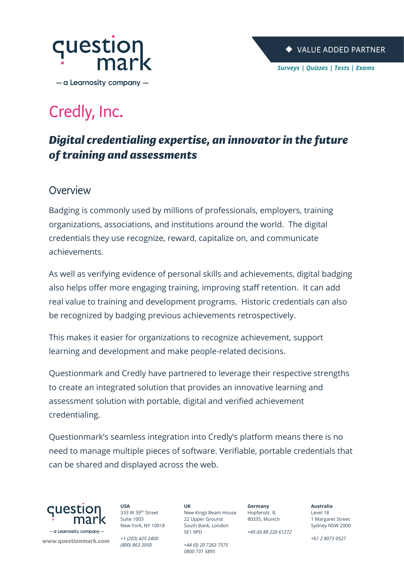

# Credly, Inc.

## Digital credentialing expertise, an innovator in the future of training and assessments

### Overview

Badging is commonly used by millions of professionals, employers, training organizations, associations, and institutions around the world. The digital credentials they use recognize, reward, capitalize on, and communicate achievements.

As well as verifying evidence of personal skills and achievements, digital badging also helps offer more engaging training, improving staff retention. It can add real value to training and development programs. Historic credentials can also be recognized by badging previous achievements retrospectively.

This makes it easier for organizations to recognize achievement, support learning and development and make people-related decisions.

Questionmark and Credly have partnered to leverage their respective strengths to create an integrated solution that provides an innovative learning and assessment solution with portable, digital and verified achievement credentialing.

Questionmark's seamless integration into Credly's platform means there is no need to manage multiple pieces of software. Verifiable, portable credentials that can be shared and displayed across the web.



www.questionmark.com

**USA** 333 W 39th Street Suite 1003 New York, NY 10018

*+1 (203) 425 2400 (800) 863 3950*

**UK** New Kings Beam House 22 Upper Ground South Bank, London SE1 9PD

*0800 731 5895*

*+44 (0) 20 7263 7575*

80335, Munich

**Germany** Hopfenstr. 8,

*+49 (0) 89 220 61272*

**Australia** Level 18 1 Margaret Street Sydney NSW 2000

*+61 2 8073 0527*